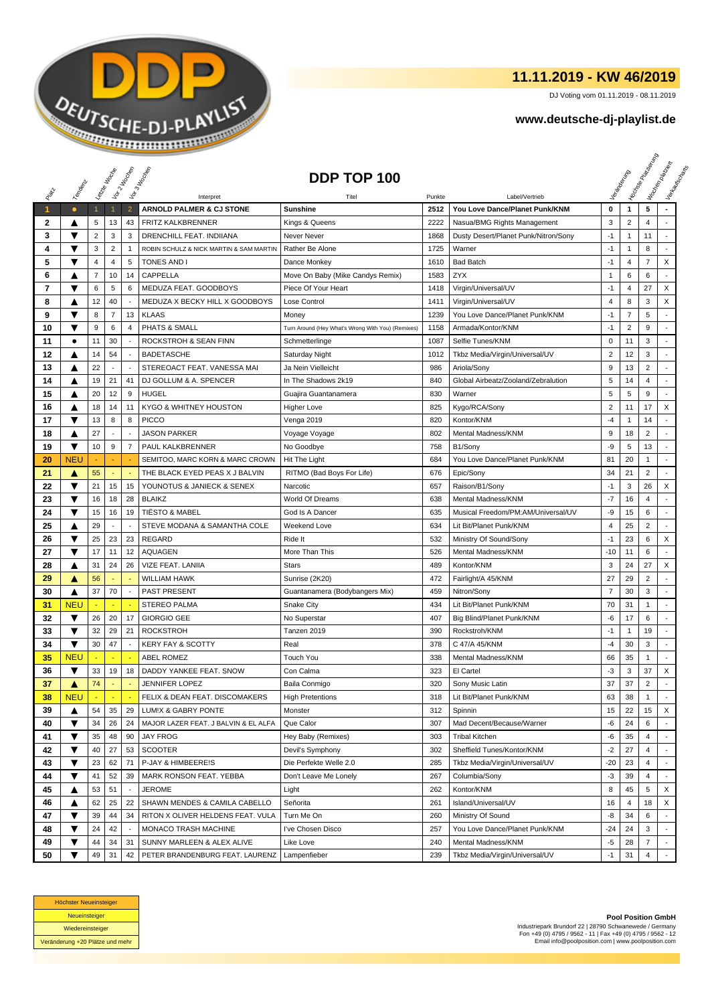

## **11.11.2019 - KW 46/2019**

DJ Voting vom 01.11.2019 - 08.11.2019

## **www.deutsche-dj-playlist.de**

|       |                         | Letre Hocke             |                          | Voir2 Moone              | Vor3 Income                             | DDP TOP 100                                       |        |                                      |                         |                | <b>Honse</b><br>Marie Papel | Workenberg<br>Verkouwerd arts |
|-------|-------------------------|-------------------------|--------------------------|--------------------------|-----------------------------------------|---------------------------------------------------|--------|--------------------------------------|-------------------------|----------------|-----------------------------|-------------------------------|
|       | Templative              |                         |                          |                          |                                         |                                                   |        |                                      |                         |                |                             |                               |
| RIVEL |                         |                         |                          |                          | Interpret                               | Titel                                             | Punkte | Label/Vertrieb                       |                         |                |                             |                               |
| 1     | $\bullet$               | $\mathbf{1}$            | 1                        | $\overline{2}$           | ARNOLD PALMER & CJ STONE                | <b>Sunshine</b>                                   | 2512   | You Love Dance/Planet Punk/KNM       | 0                       | $\mathbf{1}$   | 5                           |                               |
| 2     | ▲                       | 5                       | 13                       | 43                       | <b>FRITZ KALKBRENNER</b>                | Kings & Queens                                    | 2222   | Nasua/BMG Rights Management          | 3                       | $\overline{2}$ | 4                           |                               |
| 3     | ▼                       | $\overline{\mathbf{c}}$ | 3                        | 3                        | DRENCHILL FEAT. INDIIANA                | Never Never                                       | 1868   | Dusty Desert/Planet Punk/Nitron/Sony | $-1$                    | $\mathbf{1}$   | 11                          |                               |
| 4     | ▼                       | 3                       | $\overline{c}$           | $\mathbf{1}$             | ROBIN SCHULZ & NICK MARTIN & SAM MARTIN | Rather Be Alone                                   | 1725   | Warner                               | $-1$                    | $\mathbf{1}$   | 8                           |                               |
| 5     | ▼                       | 4                       | $\overline{4}$           | 5                        | TONES AND I                             | Dance Monkey                                      | 1610   | <b>Bad Batch</b>                     | $-1$                    | $\overline{4}$ | 7                           | X                             |
| 6     | A                       | 7                       | 10                       | 14                       | CAPPELLA                                | Move On Baby (Mike Candys Remix)                  | 1583   | <b>ZYX</b>                           | $\mathbf{1}$            | 6              | 6                           |                               |
| 7     | ▼                       | 6                       | 5                        | 6                        | MEDUZA FEAT, GOODBOYS                   | Piece Of Your Heart                               | 1418   | Virgin/Universal/UV                  | $-1$                    | $\overline{4}$ | 27                          | X                             |
| 8     | ▲                       | 12                      | 40                       |                          | MEDUZA X BECKY HILL X GOODBOYS          | Lose Control                                      | 1411   | Virgin/Universal/UV                  | 4                       | 8              | 3                           | X                             |
| 9     | ▼                       | 8                       | $\overline{7}$           | 13                       | <b>KLAAS</b>                            | Money                                             | 1239   | You Love Dance/Planet Punk/KNM       | $-1$                    | $\overline{7}$ | 5                           |                               |
| 10    | ▼                       | 9                       | 6                        | 4                        | PHATS & SMALL                           | Turn Around (Hey What's Wrong With You) (Remixes) | 1158   | Armada/Kontor/KNM                    | $-1$                    | $\overline{2}$ | 9                           |                               |
| 11    | $\bullet$               | 11                      | 30                       | $\overline{\phantom{a}}$ | ROCKSTROH & SEAN FINN                   | Schmetterlinge                                    | 1087   | Selfie Tunes/KNM                     | $\mathbf 0$             | 11             | 3                           | $\overline{a}$                |
| 12    | ▲                       | 14                      | 54                       |                          | <b>BADETASCHE</b>                       | Saturday Night                                    | 1012   | Tkbz Media/Virgin/Universal/UV       | $\overline{\mathbf{c}}$ | 12             | 3                           |                               |
| 13    | ▲                       | 22                      |                          |                          | STEREOACT FEAT. VANESSA MAI             | Ja Nein Vielleicht                                | 986    | Ariola/Sony                          | 9                       | 13             | $\overline{2}$              |                               |
| 14    | ▲                       | 19                      | 21                       | 41                       | DJ GOLLUM & A. SPENCER                  | In The Shadows 2k19                               | 840    | Global Airbeatz/Zooland/Zebralution  | 5                       | 14             | 4                           | ÷                             |
| 15    | ▲                       | 20                      | 12                       | 9                        | <b>HUGEL</b>                            | Guajira Guantanamera                              | 830    | Warner                               | 5                       | 5              | 9                           | $\overline{a}$                |
| 16    | ▲                       | 18                      | 14                       | 11                       | KYGO & WHITNEY HOUSTON                  | Higher Love                                       | 825    | Kygo/RCA/Sony                        | $\overline{\mathbf{c}}$ | 11             | 17                          | X                             |
| 17    | ▼                       | 13                      | 8                        | 8                        | <b>PICCO</b>                            | Venga 2019                                        | 820    | Kontor/KNM                           | $-4$                    | $\mathbf{1}$   | 14                          |                               |
| 18    | ▲                       | 27                      | $\overline{\phantom{a}}$ |                          | <b>JASON PARKER</b>                     | Voyage Voyage                                     | 802    | Mental Madness/KNM                   | 9                       | 18             | $\overline{2}$              |                               |
| 19    | ▼                       | 10                      | 9                        | 7                        | PAUL KALKBRENNER                        | No Goodbye                                        | 758    | B1/Sony                              | -9                      | 5              | 13                          | $\overline{\phantom{a}}$      |
| 20    | <b>NEU</b>              |                         |                          |                          | SEMITOO, MARC KORN & MARC CROWN         | <b>Hit The Light</b>                              | 684    | You Love Dance/Planet Punk/KNM       | 81                      | 20             | $\mathbf{1}$                | $\overline{\phantom{a}}$      |
| 21    | ▲                       | 55                      | $\overline{\phantom{a}}$ |                          | THE BLACK EYED PEAS X J BALVIN          | RITMO (Bad Boys For Life)                         | 676    | Epic/Sony                            | 34                      | 21             | $\overline{2}$              | $\overline{a}$                |
| 22    | ▼                       | 21                      | 15                       | 15                       | YOUNOTUS & JANIECK & SENEX              | Narcotic                                          | 657    | Raison/B1/Sony                       | $-1$                    | 3              | 26                          | X                             |
| 23    | ▼                       | 16                      | 18                       | 28                       | <b>BLAIKZ</b>                           | World Of Dreams                                   | 638    | Mental Madness/KNM                   | $-7$                    | 16             | 4                           |                               |
| 24    | ▼                       | 15                      | 16                       | 19                       | <b>TIËSTO &amp; MABEL</b>               | God Is A Dancer                                   | 635    | Musical Freedom/PM:AM/Universal/UV   | -9                      | 15             | 6                           | $\sim$                        |
| 25    | ▲                       | 29                      |                          |                          | STEVE MODANA & SAMANTHA COLE            | Weekend Love                                      | 634    | Lit Bit/Planet Punk/KNM              | 4                       | 25             | $\overline{2}$              |                               |
| 26    | $\overline{\mathbf{v}}$ | 25                      | 23                       | 23                       | <b>REGARD</b>                           | Ride It                                           | 532    | Ministry Of Sound/Sony               | $-1$                    | 23             | 6                           | X                             |
| 27    | ▼                       | 17                      | 11                       | 12                       | AQUAGEN                                 | More Than This                                    | 526    | Mental Madness/KNM                   | $-10$                   | 11             | 6                           | $\overline{\phantom{a}}$      |
| 28    | ▲                       | 31                      | 24                       | 26                       | VIZE FEAT. LANIIA                       | <b>Stars</b>                                      | 489    | Kontor/KNM                           | 3                       | 24             | 27                          | X                             |
| 29    | Α                       | 56                      |                          |                          | <b>WILLIAM HAWK</b>                     | Sunrise (2K20)                                    | 472    | Fairlight/A 45/KNM                   | 27                      | 29             | $\overline{2}$              |                               |
| 30    | ▲                       | 37                      | 70                       | $\overline{\phantom{a}}$ | <b>PAST PRESENT</b>                     | Guantanamera (Bodybangers Mix)                    | 459    | Nitron/Sony                          | $\overline{7}$          | 30             | 3                           | $\overline{a}$                |
| 31    | <b>NEU</b>              |                         |                          |                          | <b>STEREO PALMA</b>                     | <b>Snake City</b>                                 | 434    | Lit Bit/Planet Punk/KNM              | 70                      | 31             | $\mathbf{1}$                | ÷                             |
| 32    | ▼                       | 26                      | 20                       | 17                       | <b>GIORGIO GEE</b>                      | No Superstar                                      | 407    | Big Blind/Planet Punk/KNM            | -6                      | 17             | 6                           | $\sim$                        |
| 33    | $\overline{\textbf{v}}$ | 32                      | 29                       | 21                       | <b>ROCKSTROH</b>                        | Tanzen 2019                                       | 390    | Rockstroh/KNM                        | $-1$                    | $\mathbf{1}$   | 19                          | $\overline{\phantom{a}}$      |
| 34    | $\overline{\textbf{v}}$ | 30                      | 47                       | $\overline{a}$           | <b>KERY FAY &amp; SCOTTY</b>            | Real                                              | 378    | C 47/A 45/KNM                        | -4                      | 30             | 3                           | $\overline{\phantom{a}}$      |
| 35    | <b>NEU</b>              |                         |                          |                          | <b>ABEL ROMEZ</b>                       | Touch You                                         | 338    | Mental Madness/KNM                   | 66                      | 35             | 1                           |                               |
| 36    | ▼                       | 33                      | 19                       | 18                       | DADDY YANKEE FEAT, SNOW                 | Con Calma                                         | 323    | El Cartel                            | $-3$                    | 3              | 37                          | X                             |
| 37    | A                       | 74                      | ÷                        | $\sim$                   | <b>JENNIFER LOPEZ</b>                   | Baila Conmigo                                     | 320    | Sony Music Latin                     | 37                      | 37             | $\overline{2}$              |                               |
| 38    | <b>NEU</b>              |                         |                          |                          | FELIX & DEAN FEAT. DISCOMAKERS          | <b>High Pretentions</b>                           | 318    | Lit Bit/Planet Punk/KNM              | 63                      | 38             | 1                           |                               |
| 39    | ▲                       | 54                      | 35                       | 29                       | LUM!X & GABRY PONTE                     | Monster                                           | 312    | Spinnin                              | 15                      | 22             | 15                          | X                             |
| 40    | $\overline{\textbf{v}}$ | 34                      | 26                       | 24                       | MAJOR LAZER FEAT. J BALVIN & EL ALFA    | Que Calor                                         | 307    | Mad Decent/Because/Warner            | -6                      | 24             | 6                           |                               |
| 41    | ▼                       | 35                      | 48                       | 90                       | <b>JAY FROG</b>                         | Hey Baby (Remixes)                                | 303    | <b>Tribal Kitchen</b>                | -6                      | 35             | 4                           |                               |
| 42    | $\overline{\textbf{v}}$ | 40                      | 27                       | 53                       | <b>SCOOTER</b>                          | Devil's Symphony                                  | 302    | Sheffield Tunes/Kontor/KNM           | $-2$                    | 27             | 4                           |                               |
| 43    | ▼                       | 23                      | 62                       | 71                       | P-JAY & HIMBEERE!S                      | Die Perfekte Welle 2.0                            | 285    | Tkbz Media/Virgin/Universal/UV       | $-20$                   | 23             | 4                           |                               |
| 44    | ▼                       | 41                      | 52                       | 39                       | MARK RONSON FEAT. YEBBA                 | Don't Leave Me Lonely                             | 267    | Columbia/Sony                        | $-3$                    | 39             | 4                           |                               |
| 45    | ▲                       | 53                      | 51                       |                          | <b>JEROME</b>                           | Light                                             | 262    | Kontor/KNM                           | 8                       | 45             | 5                           | X                             |
| 46    | ▲                       | 62                      | 25                       | 22                       | SHAWN MENDES & CAMILA CABELLO           | Señorita                                          | 261    | Island/Universal/UV                  | 16                      | $\overline{4}$ | 18                          | X                             |
| 47    | ▼                       | 39                      | 44                       | 34                       | RITON X OLIVER HELDENS FEAT. VULA       | Turn Me On                                        | 260    | Ministry Of Sound                    | -8                      | 34             | 6                           |                               |
| 48    | ▼                       | 24                      | 42                       |                          | MONACO TRASH MACHINE                    | I've Chosen Disco                                 | 257    | You Love Dance/Planet Punk/KNM       | $-24$                   | 24             | 3                           |                               |
| 49    | ▼                       | 44                      | 34                       | 31                       | SUNNY MARLEEN & ALEX ALIVE              | Like Love                                         | 240    | Mental Madness/KNM                   | -5                      | 28             | 7                           | $\blacksquare$                |
| 50    | ▼                       | 49                      | 31                       | 42                       | PETER BRANDENBURG FEAT. LAURENZ         | Lampenfieber                                      | 239    | Tkbz Media/Virgin/Universal/UV       | $-1$                    | 31             | $\overline{4}$              |                               |



**Pool Position GmbH** Industriepark Brundorf 22 | 28790 Schwanewede / Germany Fon +49 (0) 4795 / 9562 - 11 | Fax +49 (0) 4795 / 9562 - 12 Email info@poolposition.com | www.poolposition.com